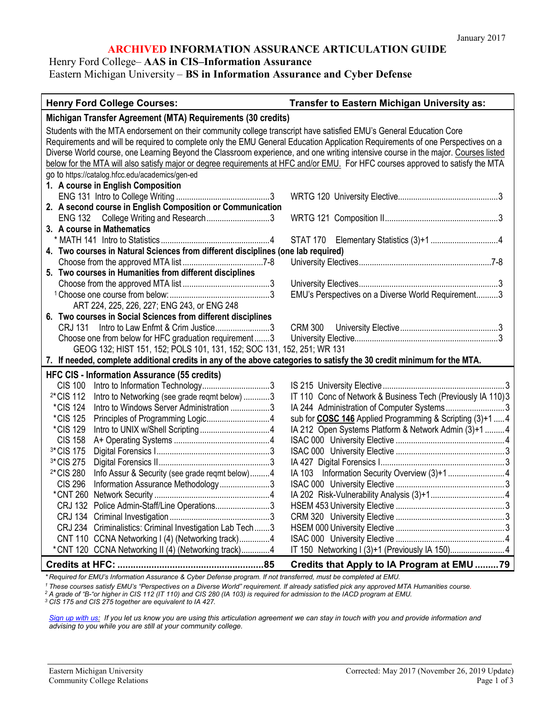#### **ARCHIVED INFORMATION ASSURANCE ARTICULATION GUIDE**

## Henry Ford College– **AAS in CIS–Information Assurance**

Eastern Michigan University – **BS in Information Assurance and Cyber Defense**

| <b>Henry Ford College Courses:</b>                                                                                                | Transfer to Eastern Michigan University as:                      |
|-----------------------------------------------------------------------------------------------------------------------------------|------------------------------------------------------------------|
| Michigan Transfer Agreement (MTA) Requirements (30 credits)                                                                       |                                                                  |
| Students with the MTA endorsement on their community college transcript have satisfied EMU's General Education Core               |                                                                  |
| Requirements and will be required to complete only the EMU General Education Application Requirements of one Perspectives on a    |                                                                  |
| Diverse World course, one Learning Beyond the Classroom experience, and one writing intensive course in the major. Courses listed |                                                                  |
| below for the MTA will also satisfy major or degree requirements at HFC and/or EMU. For HFC courses approved to satisfy the MTA   |                                                                  |
| go to https://catalog.hfcc.edu/academics/gen-ed                                                                                   |                                                                  |
| 1. A course in English Composition                                                                                                |                                                                  |
|                                                                                                                                   |                                                                  |
| 2. A second course in English Composition or Communication                                                                        |                                                                  |
| ENG 132 College Writing and Research3                                                                                             |                                                                  |
| 3. A course in Mathematics                                                                                                        |                                                                  |
|                                                                                                                                   |                                                                  |
| 4. Two courses in Natural Sciences from different disciplines (one lab required)                                                  |                                                                  |
|                                                                                                                                   |                                                                  |
| 5. Two courses in Humanities from different disciplines                                                                           |                                                                  |
|                                                                                                                                   |                                                                  |
|                                                                                                                                   | EMU's Perspectives on a Diverse World Requirement3               |
| ART 224, 225, 226, 227; ENG 243, or ENG 248                                                                                       |                                                                  |
| 6. Two courses in Social Sciences from different disciplines                                                                      |                                                                  |
| CRJ 131 Intro to Law Enfmt & Crim Justice3                                                                                        | <b>CRM 300</b>                                                   |
| Choose one from below for HFC graduation requirement3                                                                             |                                                                  |
| GEOG 132; HIST 151, 152; POLS 101, 131, 152; SOC 131, 152, 251; WR 131                                                            |                                                                  |
| 7. If needed, complete additional credits in any of the above categories to satisfy the 30 credit minimum for the MTA.            |                                                                  |
| <b>HFC CIS - Information Assurance (55 credits)</b>                                                                               |                                                                  |
| <b>CIS 100</b>                                                                                                                    |                                                                  |
| <sup>2*</sup> CIS 112<br>Intro to Networking (see grade reqmt below) 3                                                            | IT 110 Conc of Network & Business Tech (Previously IA 110) 3     |
| <i>*CIS</i> 124<br>Intro to Windows Server Administration 3                                                                       | IA 244 Administration of Computer Systems3                       |
| <i><b>*CIS 125</b></i>                                                                                                            | sub for <b>COSC 146</b> Applied Programming & Scripting (3)+1  4 |
| *CIS 129                                                                                                                          | IA 212 Open Systems Platform & Network Admin (3)+1  4            |
| <b>CIS 158</b>                                                                                                                    |                                                                  |
| <sup>3*</sup> CIS 175                                                                                                             |                                                                  |
| <sup>3*</sup> CIS 275                                                                                                             |                                                                  |
| <sup>2*</sup> CIS 280<br>Info Assur & Security (see grade regmt below)4                                                           | IA 103 Information Security Overview (3)+1  4                    |
| <b>CIS 296</b><br>Information Assurance Methodology3                                                                              |                                                                  |
|                                                                                                                                   |                                                                  |
| CRJ 132 Police Admin-Staff/Line Operations3                                                                                       |                                                                  |
|                                                                                                                                   |                                                                  |
| CRJ 234 Criminalistics: Criminal Investigation Lab Tech3                                                                          |                                                                  |
| CNT 110 CCNA Networking I (4) (Networking track)4                                                                                 |                                                                  |
| *CNT 120 CCNA Networking II (4) (Networking track)4                                                                               | IT 150 Networking I (3)+1 (Previously IA 150)4                   |
|                                                                                                                                   | Credits that Apply to IA Program at EMU 79                       |

*\* Required for EMU's Information Assurance & Cyber Defense program. If not transferred, must be completed at EMU.*

*<sup>1</sup> These courses satisfy EMU's "Perspectives on a Diverse World" requirement. If already satisfied pick any approved MTA Humanities course.*

*<sup>2</sup> A grade of "B-"or higher in CIS 112 (IT 110) and CIS 280 (IA 103) is required for admission to the IACD program at EMU.*

*<sup>3</sup> CIS 175 and CIS 275 together are equivalent to IA 427.*

*[Sign up with us:](https://www.emich.edu/ccr/articulation-agreements/signup.php) If you let us know you are using this articulation agreement we can stay in touch with you and provide information and advising to you while you are still at your community college.*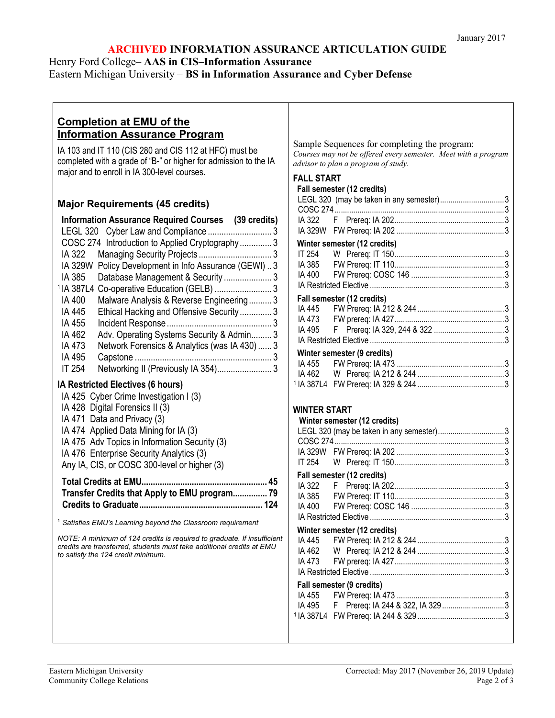### **ARCHIVED INFORMATION ASSURANCE ARTICULATION GUIDE**

### Henry Ford College– **AAS in CIS–Information Assurance**

# Eastern Michigan University – **BS in Information Assurance and Cyber Defense**

## **Completion at EMU of the Information Assurance Program**

IA 103 and IT 110 (CIS 280 and CIS 112 at HFC) must be completed with a grade of "B-" or higher for admission to the IA major and to enroll in IA 300-level courses.

## **Major Requirements (45 credits)**

| <b>Information Assurance Required Courses</b> (39 credits)                   |
|------------------------------------------------------------------------------|
| LEGL 320 Cyber Law and Compliance 3                                          |
| COSC 274 Introduction to Applied Cryptography 3                              |
| IA 322<br>Managing Security Projects 3                                       |
| Policy Development in Info Assurance (GEWI) 3<br>IA 329W                     |
| Database Management & Security  3<br>IA 385                                  |
| <sup>1</sup> IA 387L4 Co-operative Education (GELB)  3                       |
| Malware Analysis & Reverse Engineering 3<br>IA 400                           |
| Ethical Hacking and Offensive Security3<br>IA 445                            |
| IA 455                                                                       |
| Adv. Operating Systems Security & Admin 3<br>IA 462                          |
| Network Forensics & Analytics (was IA 430)  3<br>IA 473                      |
| IA 495                                                                       |
| Networking II (Previously IA 354) 3<br>IT 254                                |
| IA Restricted Electives (6 hours)                                            |
| IA 425 Cyber Crime Investigation I (3)                                       |
| IA 428 Digital Forensics II (3)                                              |
| IA 471 Data and Privacy (3)                                                  |
| IA 474 Applied Data Mining for IA (3)                                        |
| IA 475 Adv Topics in Information Security (3)                                |
| IA 476 Enterprise Security Analytics (3)                                     |
| Any IA, CIS, or COSC 300-level or higher (3)                                 |
| <b>Total Credits at EMU</b><br>Transfer Credits that Apply to EMU program 79 |
|                                                                              |
| <sup>1</sup> Satisfies EMU's Learning beyond the Classroom requirement       |
| NOTE: A minimum of 124 credits is required to graduate If insufficien        |

*NOTE: A minimum of 124 credits is required to graduate. If insufficient credits are transferred, students must take additional credits at EMU to satisfy the 124 credit minimum.*

Sample Sequences for completing the program: *Courses may not be offered every semester. Meet with a program advisor to plan a program of study.*

#### **FALL START**

|                              | Fall semester (12 credits)               |  |
|------------------------------|------------------------------------------|--|
|                              | LEGL 320 (may be taken in any semester)3 |  |
|                              |                                          |  |
|                              |                                          |  |
|                              |                                          |  |
| Winter semester (12 credits) |                                          |  |
|                              |                                          |  |
|                              |                                          |  |
|                              |                                          |  |
|                              |                                          |  |
| Fall semester (12 credits)   |                                          |  |
|                              |                                          |  |
|                              |                                          |  |
|                              |                                          |  |
|                              |                                          |  |
|                              | Winter semester (9 credits)              |  |
|                              |                                          |  |
|                              |                                          |  |
|                              |                                          |  |

#### **WINTER START**

| Winter semester (12 credits)             |  |  |
|------------------------------------------|--|--|
| LEGL 320 (may be taken in any semester)3 |  |  |
|                                          |  |  |
|                                          |  |  |
|                                          |  |  |
| Fall semester (12 credits)               |  |  |
|                                          |  |  |
|                                          |  |  |
|                                          |  |  |
|                                          |  |  |
| Winter semester (12 credits)             |  |  |
|                                          |  |  |
|                                          |  |  |
|                                          |  |  |
|                                          |  |  |
| Fall semester (9 credits)                |  |  |
|                                          |  |  |
|                                          |  |  |
|                                          |  |  |
|                                          |  |  |
|                                          |  |  |